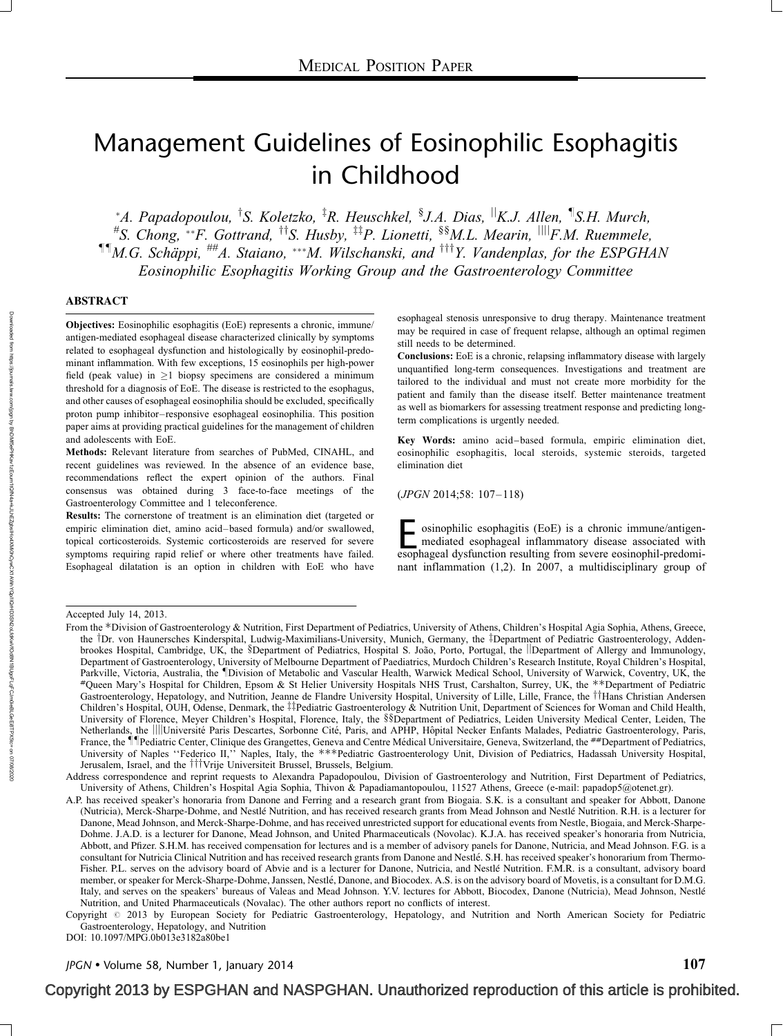# Management Guidelines of Eosinophilic Esophagitis in Childhood

\*A. Papadopoulou, <sup>†</sup>S. Koletzko, <sup>†</sup>R. Heuschkel, <sup>§</sup>J.A. Dias, <sup>||</sup>K.J. Allen, <sup>¶</sup>S.H. Murch, <sup>#</sup>S. Chong, \*\*F. Gottrand, <sup>††</sup>S. Husby, <sup>‡‡</sup>P. Lionetti, <sup>§§</sup>M.L. Mearin, <sup>||||</sup>F.M. Ruemmele,  $M.G.$  Schäppi,  $H/A.$  Staiano, \*\*\*M. Wilschanski, and  $H'Y.$  Vandenplas, for the ESPGHAN Eosinophilic Esophagitis Working Group and the Gastroenterology Committee

#### ABSTRACT

Objectives: Eosinophilic esophagitis (EoE) represents a chronic, immune/ antigen-mediated esophageal disease characterized clinically by symptoms related to esophageal dysfunction and histologically by eosinophil-predominant inflammation. With few exceptions, 15 eosinophils per high-power field (peak value) in  $\geq 1$  biopsy specimens are considered a minimum threshold for a diagnosis of EoE. The disease is restricted to the esophagus, and other causes of esophageal eosinophilia should be excluded, specifically proton pump inhibitor–responsive esophageal eosinophilia. This position paper aims at providing practical guidelines for the management of children and adolescents with EoE.

Methods: Relevant literature from searches of PubMed, CINAHL, and recent guidelines was reviewed. In the absence of an evidence base, recommendations reflect the expert opinion of the authors. Final consensus was obtained during 3 face-to-face meetings of the Gastroenterology Committee and 1 teleconference.

Results: The cornerstone of treatment is an elimination diet (targeted or empiric elimination diet, amino acid–based formula) and/or swallowed, topical corticosteroids. Systemic corticosteroids are reserved for severe symptoms requiring rapid relief or where other treatments have failed. Esophageal dilatation is an option in children with EoE who have

esophageal stenosis unresponsive to drug therapy. Maintenance treatment may be required in case of frequent relapse, although an optimal regimen still needs to be determined.

Conclusions: EoE is a chronic, relapsing inflammatory disease with largely unquantified long-term consequences. Investigations and treatment are tailored to the individual and must not create more morbidity for the patient and family than the disease itself. Better maintenance treatment as well as biomarkers for assessing treatment response and predicting longterm complications is urgently needed.

Key Words: amino acid–based formula, empiric elimination diet, eosinophilic esophagitis, local steroids, systemic steroids, targeted elimination diet

(JPGN 2014;58: 107–118)

sinophilic esophagitis (EoE) is a chronic immune/antigenmediated esophageal inflammatory disease associated with esophageal dysfunction resulting from severe eosinophil-predomimediated esophageal inflammatory disease associated with esophageal dysfunction resulting from severe eosinophil-predominant inflammation (1,2). In 2007, a multidisciplinary group of

DOI: [10.1097/MPG.0b013e3182a80be1](http://dx.doi.org/10.1097/MPG.0b013e3182a80be1)

Accepted July 14, 2013.

From the \*Division of Gastroenterology & Nutrition, First Department of Pediatrics, University of Athens, Children's Hospital Agia Sophia, Athens, Greece, the <sup>†</sup>Dr. von Haunersches Kinderspital, Ludwig-Maximilians-University, Munich, Germany, the ‡Department of Pediatric Gastroenterology, Addenbrookes Hospital, Cambridge, UK, the §Department of Pediatrics, Hospital S. João, Porto, Portugal, the *||Department* of Allergy and Immunology, Department of Gastroenterology, University of Melbourne Department of Paediatrics, Murdoch Children's Research Institute, Royal Children's Hospital, Parkville, Victoria, Australia, the *Division of Metabolic and Vascular Health*, Warwick Medical School, University of Warwick, Coventry, UK, the *\*Queen Mary's Hospital for Children*, Epsom & St Helier University Hospital Gastroenterology, Hepatology, and Nutrition, Jeanne de Flandre University Hospital, University of Lille, Lille, France, the #Hans Christian Andersen Children's Hospital, OUH, Odense, Denmark, the #Pediatric Gastroenterology & Nutrition Unit, Department of Sciences for Woman and Child Health, University of Florence, Meyer Children's Hospital, Florence, Italy, the §§Department of Pediatrics, Leiden University Medical Center, Leiden, The Netherlands, the ||||Universite Paris Descartes, Sorbonne Cite, Paris, and APHP, Hopital Necker Enfants Malades, Pediatric Gastroenterology, Paris, France, the **Prediatric Center, Clinique des Grangettes**, Geneva and Centre Médical Universitaire, Geneva, Switzerland, the ##Department of Pediatrics, University of Naples "Federico II," Naples, Italy, the \*\*\*Pediatric Gastroenterology Unit, Division of Pediatrics, Hadassah University Hospital, Jerusalem, Israel, and the *†††*Vrije Universiteit Brussel, Brussels, Belgium.

Address correspondence and reprint requests to Alexandra Papadopoulou, Division of Gastroenterology and Nutrition, First Department of Pediatrics, University of Athens, Children's Hospital Agia Sophia, Thivon & Papadiamantopoulou, 11527 Athens, Greece (e-mail: [papadop5@otenet.gr\)](mailto:papadop5@otenet.gr).

A.P. has received speaker's honoraria from Danone and Ferring and a research grant from Biogaia. S.K. is a consultant and speaker for Abbott, Danone (Nutricia), Merck-Sharpe-Dohme, and Nestle´ Nutrition, and has received research grants from Mead Johnson and Nestle´ Nutrition. R.H. is a lecturer for Danone, Mead Johnson, and Merck-Sharpe-Dohme, and has received unrestricted support for educational events from Nestle, Biogaia, and Merck-Sharpe-Dohme. J.A.D. is a lecturer for Danone, Mead Johnson, and United Pharmaceuticals (Novolac). K.J.A. has received speaker's honoraria from Nutricia, Abbott, and Pfizer. S.H.M. has received compensation for lectures and is a member of advisory panels for Danone, Nutricia, and Mead Johnson. F.G. is a consultant for Nutricia Clinical Nutrition and has received research grants from Danone and Nestle´. S.H. has received speaker's honorarium from Thermo-Fisher. P.L. serves on the advisory board of Abvie and is a lecturer for Danone, Nutricia, and Nestlé Nutrition. F.M.R. is a consultant, advisory board member, or speaker for Merck-Sharpe-Dohme, Janssen, Nestlé, Danone, and Biocodex. A.S. is on the advisory board of Movetis, is a consultant for D.M.G. Italy, and serves on the speakers' bureaus of Valeas and Mead Johnson. Y.V. lectures for Abbott, Biocodex, Danone (Nutricia), Mead Johnson, Nestle´ Nutrition, and United Pharmaceuticals (Novalac). The other authors report no conflicts of interest.

Copyright  $@$  2013 by European Society for Pediatric Gastroenterology, Hepatology, and Nutrition and North American Society for Pediatric Gastroenterology, Hepatology, and Nutrition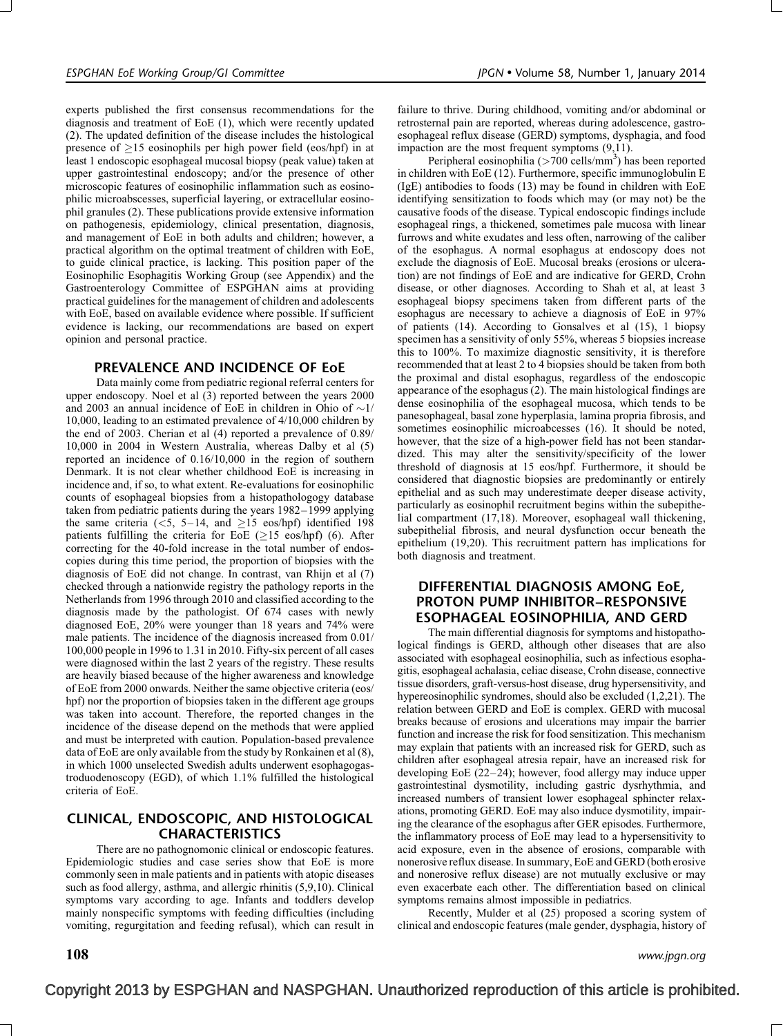experts published the first consensus recommendations for the diagnosis and treatment of EoE (1), which were recently updated (2). The updated definition of the disease includes the histological presence of  $\geq$ 15 eosinophils per high power field (eos/hpf) in at least 1 endoscopic esophageal mucosal biopsy (peak value) taken at upper gastrointestinal endoscopy; and/or the presence of other microscopic features of eosinophilic inflammation such as eosinophilic microabscesses, superficial layering, or extracellular eosinophil granules (2). These publications provide extensive information on pathogenesis, epidemiology, clinical presentation, diagnosis, and management of EoE in both adults and children; however, a practical algorithm on the optimal treatment of children with EoE, to guide clinical practice, is lacking. This position paper of the Eosinophilic Esophagitis Working Group (see Appendix) and the Gastroenterology Committee of ESPGHAN aims at providing practical guidelines for the management of children and adolescents with EoE, based on available evidence where possible. If sufficient evidence is lacking, our recommendations are based on expert opinion and personal practice.

#### PREVALENCE AND INCIDENCE OF EoE

Data mainly come from pediatric regional referral centers for upper endoscopy. Noel et al (3) reported between the years 2000 and 2003 an annual incidence of EoE in children in Ohio of  $\sim$ 1/ 10,000, leading to an estimated prevalence of 4/10,000 children by the end of 2003. Cherian et al (4) reported a prevalence of 0.89/ 10,000 in 2004 in Western Australia, whereas Dalby et al (5) reported an incidence of 0.16/10,000 in the region of southern Denmark. It is not clear whether childhood EoE is increasing in incidence and, if so, to what extent. Re-evaluations for eosinophilic counts of esophageal biopsies from a histopathologogy database taken from pediatric patients during the years 1982–1999 applying the same criteria ( $\lt 5$ , 5–14, and  $\geq 15$  eos/hpf) identified 198 patients fulfilling the criteria for EoE ( $\geq$ 15 eos/hpf) (6). After correcting for the 40-fold increase in the total number of endoscopies during this time period, the proportion of biopsies with the diagnosis of EoE did not change. In contrast, van Rhijn et al (7) checked through a nationwide registry the pathology reports in the Netherlands from 1996 through 2010 and classified according to the diagnosis made by the pathologist. Of 674 cases with newly diagnosed EoE, 20% were younger than 18 years and 74% were male patients. The incidence of the diagnosis increased from 0.01/ 100,000 people in 1996 to 1.31 in 2010. Fifty-six percent of all cases were diagnosed within the last 2 years of the registry. These results are heavily biased because of the higher awareness and knowledge of EoE from 2000 onwards. Neither the same objective criteria (eos/ hpf) nor the proportion of biopsies taken in the different age groups was taken into account. Therefore, the reported changes in the incidence of the disease depend on the methods that were applied and must be interpreted with caution. Population-based prevalence data of EoE are only available from the study by Ronkainen et al (8), in which 1000 unselected Swedish adults underwent esophagogastroduodenoscopy (EGD), of which 1.1% fulfilled the histological criteria of EoE.

#### CLINICAL, ENDOSCOPIC, AND HISTOLOGICAL CHARACTERISTICS

There are no pathognomonic clinical or endoscopic features. Epidemiologic studies and case series show that EoE is more commonly seen in male patients and in patients with atopic diseases such as food allergy, asthma, and allergic rhinitis (5,9,10). Clinical symptoms vary according to age. Infants and toddlers develop mainly nonspecific symptoms with feeding difficulties (including vomiting, regurgitation and feeding refusal), which can result in

failure to thrive. During childhood, vomiting and/or abdominal or retrosternal pain are reported, whereas during adolescence, gastroesophageal reflux disease (GERD) symptoms, dysphagia, and food impaction are the most frequent symptoms (9,11).

Peripheral eosinophilia ( $>700$  cells/mm<sup>3</sup>) has been reported in children with EoE (12). Furthermore, specific immunoglobulin E (IgE) antibodies to foods (13) may be found in children with EoE identifying sensitization to foods which may (or may not) be the causative foods of the disease. Typical endoscopic findings include esophageal rings, a thickened, sometimes pale mucosa with linear furrows and white exudates and less often, narrowing of the caliber of the esophagus. A normal esophagus at endoscopy does not exclude the diagnosis of EoE. Mucosal breaks (erosions or ulceration) are not findings of EoE and are indicative for GERD, Crohn disease, or other diagnoses. According to Shah et al, at least 3 esophageal biopsy specimens taken from different parts of the esophagus are necessary to achieve a diagnosis of EoE in 97% of patients (14). According to Gonsalves et al (15), 1 biopsy specimen has a sensitivity of only 55%, whereas 5 biopsies increase this to 100%. To maximize diagnostic sensitivity, it is therefore recommended that at least 2 to 4 biopsies should be taken from both the proximal and distal esophagus, regardless of the endoscopic appearance of the esophagus (2). The main histological findings are dense eosinophilia of the esophageal mucosa, which tends to be panesophageal, basal zone hyperplasia, lamina propria fibrosis, and sometimes eosinophilic microabcesses (16). It should be noted, however, that the size of a high-power field has not been standardized. This may alter the sensitivity/specificity of the lower threshold of diagnosis at 15 eos/hpf. Furthermore, it should be considered that diagnostic biopsies are predominantly or entirely epithelial and as such may underestimate deeper disease activity, particularly as eosinophil recruitment begins within the subepithelial compartment (17,18). Moreover, esophageal wall thickening, subepithelial fibrosis, and neural dysfunction occur beneath the epithelium (19,20). This recruitment pattern has implications for both diagnosis and treatment.

#### DIFFERENTIAL DIAGNOSIS AMONG EoE, PROTON PUMP INHIBITOR–RESPONSIVE ESOPHAGEAL EOSINOPHILIA, AND GERD

The main differential diagnosis for symptoms and histopathological findings is GERD, although other diseases that are also associated with esophageal eosinophilia, such as infectious esophagitis, esophageal achalasia, celiac disease, Crohn disease, connective tissue disorders, graft-versus-host disease, drug hypersensitivity, and hypereosinophilic syndromes, should also be excluded (1,2,21). The relation between GERD and EoE is complex. GERD with mucosal breaks because of erosions and ulcerations may impair the barrier function and increase the risk for food sensitization. This mechanism may explain that patients with an increased risk for GERD, such as children after esophageal atresia repair, have an increased risk for developing EoE (22–24); however, food allergy may induce upper gastrointestinal dysmotility, including gastric dysrhythmia, and increased numbers of transient lower esophageal sphincter relaxations, promoting GERD. EoE may also induce dysmotility, impairing the clearance of the esophagus after GER episodes. Furthermore, the inflammatory process of EoE may lead to a hypersensitivity to acid exposure, even in the absence of erosions, comparable with nonerosive reflux disease. In summary, EoE and GERD (both erosive and nonerosive reflux disease) are not mutually exclusive or may even exacerbate each other. The differentiation based on clinical symptoms remains almost impossible in pediatrics.

Recently, Mulder et al (25) proposed a scoring system of clinical and endoscopic features (male gender, dysphagia, history of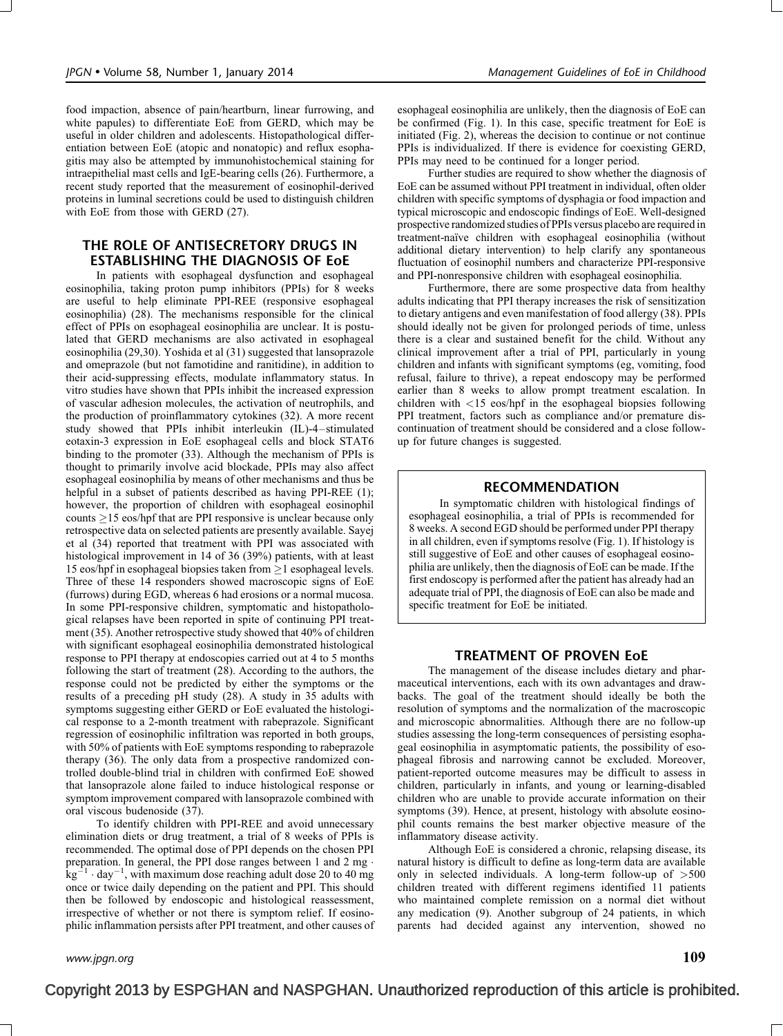food impaction, absence of pain/heartburn, linear furrowing, and white papules) to differentiate EoE from GERD, which may be useful in older children and adolescents. Histopathological differentiation between EoE (atopic and nonatopic) and reflux esophagitis may also be attempted by immunohistochemical staining for intraepithelial mast cells and IgE-bearing cells (26). Furthermore, a recent study reported that the measurement of eosinophil-derived proteins in luminal secretions could be used to distinguish children with EoE from those with GERD (27).

#### THE ROLE OF ANTISECRETORY DRUGS IN ESTABLISHING THE DIAGNOSIS OF EoE

In patients with esophageal dysfunction and esophageal eosinophilia, taking proton pump inhibitors (PPIs) for 8 weeks are useful to help eliminate PPI-REE (responsive esophageal eosinophilia) (28). The mechanisms responsible for the clinical effect of PPIs on esophageal eosinophilia are unclear. It is postulated that GERD mechanisms are also activated in esophageal eosinophilia (29,30). Yoshida et al (31) suggested that lansoprazole and omeprazole (but not famotidine and ranitidine), in addition to their acid-suppressing effects, modulate inflammatory status. In vitro studies have shown that PPIs inhibit the increased expression of vascular adhesion molecules, the activation of neutrophils, and the production of proinflammatory cytokines (32). A more recent study showed that PPIs inhibit interleukin (IL)-4–stimulated eotaxin-3 expression in EoE esophageal cells and block STAT6 binding to the promoter (33). Although the mechanism of PPIs is thought to primarily involve acid blockade, PPIs may also affect esophageal eosinophilia by means of other mechanisms and thus be helpful in a subset of patients described as having PPI-REE (1); however, the proportion of children with esophageal eosinophil counts  $\geq$ 15 eos/hpf that are PPI responsive is unclear because only retrospective data on selected patients are presently available. Sayej et al (34) reported that treatment with PPI was associated with histological improvement in 14 of 36 (39%) patients, with at least 15 eos/hpf in esophageal biopsies taken from  $\geq$ 1 esophageal levels. Three of these 14 responders showed macroscopic signs of EoE (furrows) during EGD, whereas 6 had erosions or a normal mucosa. In some PPI-responsive children, symptomatic and histopathological relapses have been reported in spite of continuing PPI treatment (35). Another retrospective study showed that 40% of children with significant esophageal eosinophilia demonstrated histological response to PPI therapy at endoscopies carried out at 4 to 5 months following the start of treatment (28). According to the authors, the response could not be predicted by either the symptoms or the results of a preceding pH study (28). A study in 35 adults with symptoms suggesting either GERD or EoE evaluated the histological response to a 2-month treatment with rabeprazole. Significant regression of eosinophilic infiltration was reported in both groups, with 50% of patients with EoE symptoms responding to rabeprazole therapy (36). The only data from a prospective randomized controlled double-blind trial in children with confirmed EoE showed that lansoprazole alone failed to induce histological response or symptom improvement compared with lansoprazole combined with oral viscous budenoside (37).

To identify children with PPI-REE and avoid unnecessary elimination diets or drug treatment, a trial of 8 weeks of PPIs is recommended. The optimal dose of PPI depends on the chosen PPI preparation. In general, the PPI dose ranges between 1 and 2 mg  $\text{kg}^{-1} \cdot \text{day}^{-1}$ , with maximum dose reaching adult dose 20 to 40 mg once or twice daily depending on the patient and PPI. This should then be followed by endoscopic and histological reassessment, irrespective of whether or not there is symptom relief. If eosinophilic inflammation persists after PPI treatment, and other causes of

www.jpgn.org  $\hspace{1cm} 109$ 

esophageal eosinophilia are unlikely, then the diagnosis of EoE can be confirmed (Fig. 1). In this case, specific treatment for EoE is initiated (Fig. 2), whereas the decision to continue or not continue PPIs is individualized. If there is evidence for coexisting GERD, PPIs may need to be continued for a longer period.

Further studies are required to show whether the diagnosis of EoE can be assumed without PPI treatment in individual, often older children with specific symptoms of dysphagia or food impaction and typical microscopic and endoscopic findings of EoE. Well-designed prospective randomized studies of PPIs versus placebo are required in treatment-naïve children with esophageal eosinophilia (without additional dietary intervention) to help clarify any spontaneous fluctuation of eosinophil numbers and characterize PPI-responsive and PPI-nonresponsive children with esophageal eosinophilia.

Furthermore, there are some prospective data from healthy adults indicating that PPI therapy increases the risk of sensitization to dietary antigens and even manifestation of food allergy (38). PPIs should ideally not be given for prolonged periods of time, unless there is a clear and sustained benefit for the child. Without any clinical improvement after a trial of PPI, particularly in young children and infants with significant symptoms (eg, vomiting, food refusal, failure to thrive), a repeat endoscopy may be performed earlier than 8 weeks to allow prompt treatment escalation. In children with <15 eos/hpf in the esophageal biopsies following PPI treatment, factors such as compliance and/or premature discontinuation of treatment should be considered and a close followup for future changes is suggested.

#### RECOMMENDATION

In symptomatic children with histological findings of esophageal eosinophilia, a trial of PPIs is recommended for 8 weeks. A second EGD should be performed under PPI therapy in all children, even if symptoms resolve (Fig. 1). If histology is still suggestive of EoE and other causes of esophageal eosinophilia are unlikely, then the diagnosis of EoE can be made. If the first endoscopy is performed after the patient has already had an adequate trial of PPI, the diagnosis of EoE can also be made and specific treatment for EoE be initiated.

#### TREATMENT OF PROVEN EoE

The management of the disease includes dietary and pharmaceutical interventions, each with its own advantages and drawbacks. The goal of the treatment should ideally be both the resolution of symptoms and the normalization of the macroscopic and microscopic abnormalities. Although there are no follow-up studies assessing the long-term consequences of persisting esophageal eosinophilia in asymptomatic patients, the possibility of esophageal fibrosis and narrowing cannot be excluded. Moreover, patient-reported outcome measures may be difficult to assess in children, particularly in infants, and young or learning-disabled children who are unable to provide accurate information on their symptoms (39). Hence, at present, histology with absolute eosinophil counts remains the best marker objective measure of the inflammatory disease activity.

Although EoE is considered a chronic, relapsing disease, its natural history is difficult to define as long-term data are available only in selected individuals. A long-term follow-up of >500 children treated with different regimens identified 11 patients who maintained complete remission on a normal diet without any medication (9). Another subgroup of 24 patients, in which parents had decided against any intervention, showed no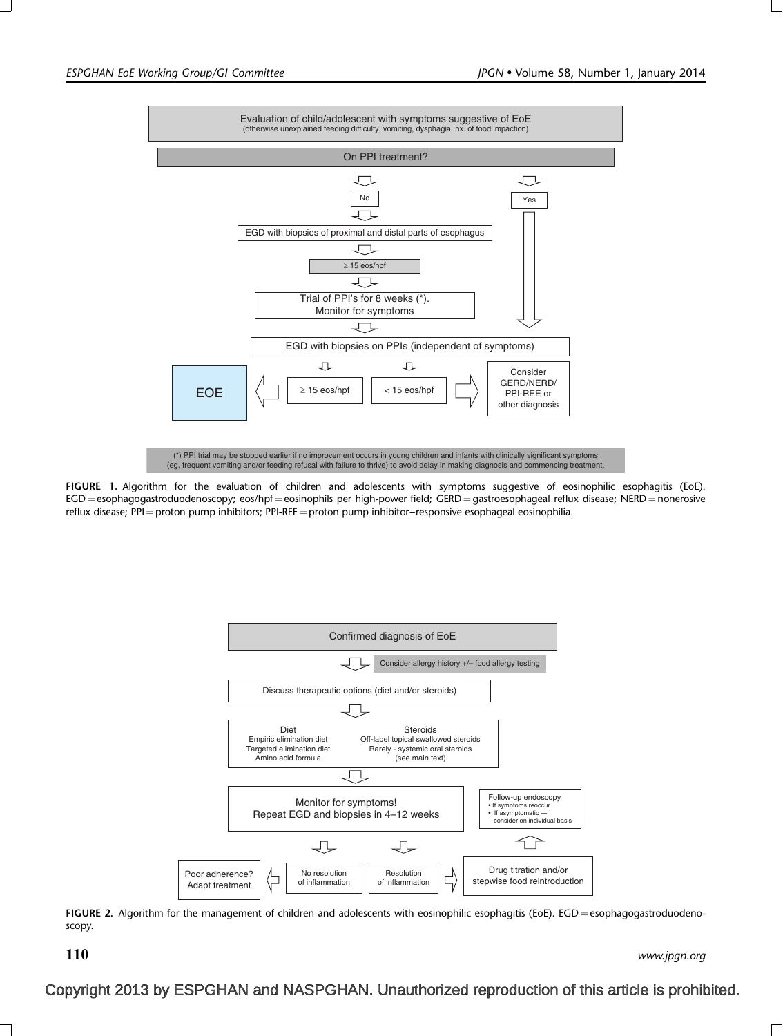

FIGURE 1. Algorithm for the evaluation of children and adolescents with symptoms suggestive of eosinophilic esophagitis (EoE). EGD = esophagogastroduodenoscopy; eos/hpf = eosinophils per high-power field; GERD = gastroesophageal reflux disease; NERD = nonerosive  $reflux disease; PPI = proton pump inhibitors; PPI-REE = proton pump inhibitor, phinbitor, 2000, 3000, 4000, 5000, and 6000, and 7000, respectively.$ 



FIGURE 2. Algorithm for the management of children and adolescents with eosinophilic esophagitis (EoE). EGD = esophagogastroduodenoscopy.

 $\bf 110$  www.jpgn.org www.jpgn.org www.jpgn.org www.jpgn.org www.jpgn.org  $\bf$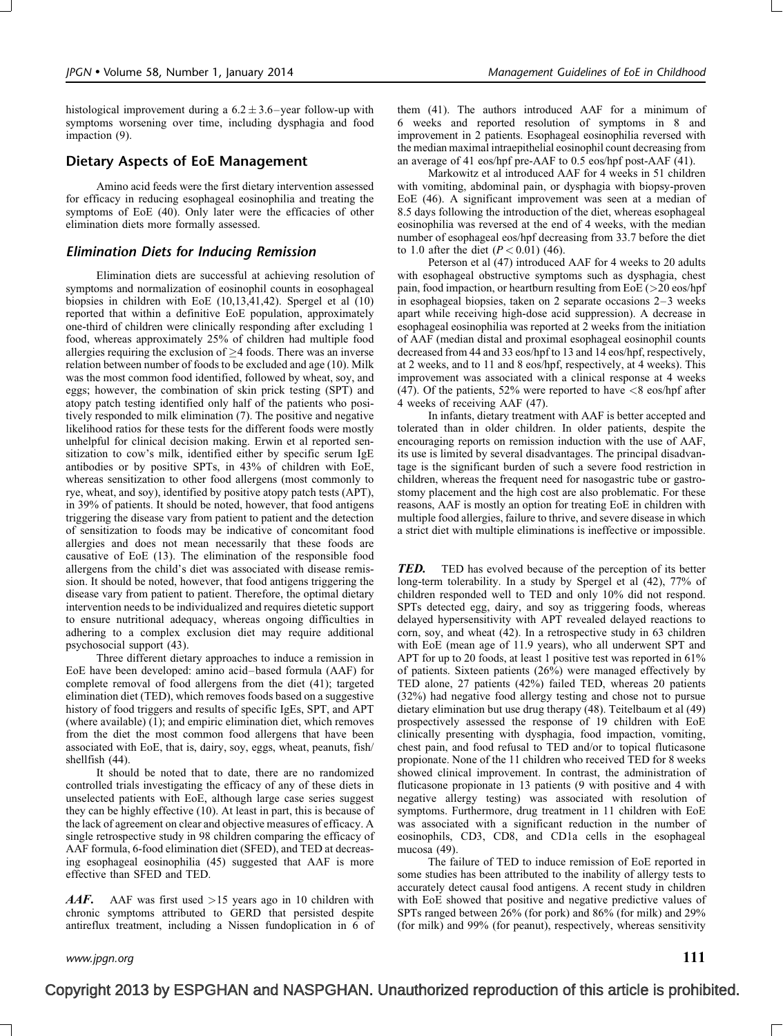histological improvement during a  $6.2 \pm 3.6$ -year follow-up with symptoms worsening over time, including dysphagia and food impaction (9).

#### Dietary Aspects of EoE Management

Amino acid feeds were the first dietary intervention assessed for efficacy in reducing esophageal eosinophilia and treating the symptoms of EoE (40). Only later were the efficacies of other elimination diets more formally assessed.

#### Elimination Diets for Inducing Remission

Elimination diets are successful at achieving resolution of symptoms and normalization of eosinophil counts in eosophageal biopsies in children with EoE (10,13,41,42). Spergel et al (10) reported that within a definitive EoE population, approximately one-third of children were clinically responding after excluding 1 food, whereas approximately 25% of children had multiple food allergies requiring the exclusion of  $\geq$ 4 foods. There was an inverse relation between number of foods to be excluded and age (10). Milk was the most common food identified, followed by wheat, soy, and eggs; however, the combination of skin prick testing (SPT) and atopy patch testing identified only half of the patients who positively responded to milk elimination (7). The positive and negative likelihood ratios for these tests for the different foods were mostly unhelpful for clinical decision making. Erwin et al reported sensitization to cow's milk, identified either by specific serum IgE antibodies or by positive SPTs, in 43% of children with EoE, whereas sensitization to other food allergens (most commonly to rye, wheat, and soy), identified by positive atopy patch tests (APT), in 39% of patients. It should be noted, however, that food antigens triggering the disease vary from patient to patient and the detection of sensitization to foods may be indicative of concomitant food allergies and does not mean necessarily that these foods are causative of EoE (13). The elimination of the responsible food allergens from the child's diet was associated with disease remission. It should be noted, however, that food antigens triggering the disease vary from patient to patient. Therefore, the optimal dietary intervention needs to be individualized and requires dietetic support to ensure nutritional adequacy, whereas ongoing difficulties in adhering to a complex exclusion diet may require additional psychosocial support (43).

Three different dietary approaches to induce a remission in EoE have been developed: amino acid–based formula (AAF) for complete removal of food allergens from the diet (41); targeted elimination diet (TED), which removes foods based on a suggestive history of food triggers and results of specific IgEs, SPT, and APT (where available) (1); and empiric elimination diet, which removes from the diet the most common food allergens that have been associated with EoE, that is, dairy, soy, eggs, wheat, peanuts, fish/ shellfish (44).

It should be noted that to date, there are no randomized controlled trials investigating the efficacy of any of these diets in unselected patients with EoE, although large case series suggest they can be highly effective (10). At least in part, this is because of the lack of agreement on clear and objective measures of efficacy. A single retrospective study in 98 children comparing the efficacy of AAF formula, 6-food elimination diet (SFED), and TED at decreasing esophageal eosinophilia (45) suggested that AAF is more effective than SFED and TED.

 $AAF$ . AAF was first used  $>15$  years ago in 10 children with chronic symptoms attributed to GERD that persisted despite antireflux treatment, including a Nissen fundoplication in 6 of

them (41). The authors introduced AAF for a minimum of 6 weeks and reported resolution of symptoms in 8 and improvement in 2 patients. Esophageal eosinophilia reversed with the median maximal intraepithelial eosinophil count decreasing from an average of 41 eos/hpf pre-AAF to 0.5 eos/hpf post-AAF (41).

Markowitz et al introduced AAF for 4 weeks in 51 children with vomiting, abdominal pain, or dysphagia with biopsy-proven EoE (46). A significant improvement was seen at a median of 8.5 days following the introduction of the diet, whereas esophageal eosinophilia was reversed at the end of 4 weeks, with the median number of esophageal eos/hpf decreasing from 33.7 before the diet to 1.0 after the diet  $(P < 0.01)$  (46).

Peterson et al (47) introduced AAF for 4 weeks to 20 adults with esophageal obstructive symptoms such as dysphagia, chest pain, food impaction, or heartburn resulting from EoE (>20 eos/hpf in esophageal biopsies, taken on 2 separate occasions 2–3 weeks apart while receiving high-dose acid suppression). A decrease in esophageal eosinophilia was reported at 2 weeks from the initiation of AAF (median distal and proximal esophageal eosinophil counts decreased from 44 and 33 eos/hpf to 13 and 14 eos/hpf, respectively, at 2 weeks, and to 11 and 8 eos/hpf, respectively, at 4 weeks). This improvement was associated with a clinical response at 4 weeks (47). Of the patients, 52% were reported to have  $\langle 8 \text{ eos/hpf after} \rangle$ 4 weeks of receiving AAF (47).

In infants, dietary treatment with AAF is better accepted and tolerated than in older children. In older patients, despite the encouraging reports on remission induction with the use of AAF, its use is limited by several disadvantages. The principal disadvantage is the significant burden of such a severe food restriction in children, whereas the frequent need for nasogastric tube or gastrostomy placement and the high cost are also problematic. For these reasons, AAF is mostly an option for treating EoE in children with multiple food allergies, failure to thrive, and severe disease in which a strict diet with multiple eliminations is ineffective or impossible.

**TED.** TED has evolved because of the perception of its better long-term tolerability. In a study by Spergel et al (42), 77% of children responded well to TED and only 10% did not respond. SPTs detected egg, dairy, and soy as triggering foods, whereas delayed hypersensitivity with APT revealed delayed reactions to corn, soy, and wheat (42). In a retrospective study in 63 children with EoE (mean age of 11.9 years), who all underwent SPT and APT for up to 20 foods, at least 1 positive test was reported in 61% of patients. Sixteen patients (26%) were managed effectively by TED alone, 27 patients (42%) failed TED, whereas 20 patients (32%) had negative food allergy testing and chose not to pursue dietary elimination but use drug therapy (48). Teitelbaum et al (49) prospectively assessed the response of 19 children with EoE clinically presenting with dysphagia, food impaction, vomiting, chest pain, and food refusal to TED and/or to topical fluticasone propionate. None of the 11 children who received TED for 8 weeks showed clinical improvement. In contrast, the administration of fluticasone propionate in 13 patients (9 with positive and 4 with negative allergy testing) was associated with resolution of symptoms. Furthermore, drug treatment in 11 children with EoE was associated with a significant reduction in the number of eosinophils, CD3, CD8, and CD1a cells in the esophageal mucosa (49).

The failure of TED to induce remission of EoE reported in some studies has been attributed to the inability of allergy tests to accurately detect causal food antigens. A recent study in children with EoE showed that positive and negative predictive values of SPTs ranged between 26% (for pork) and 86% (for milk) and 29% (for milk) and 99% (for peanut), respectively, whereas sensitivity

www.jpgn.org 111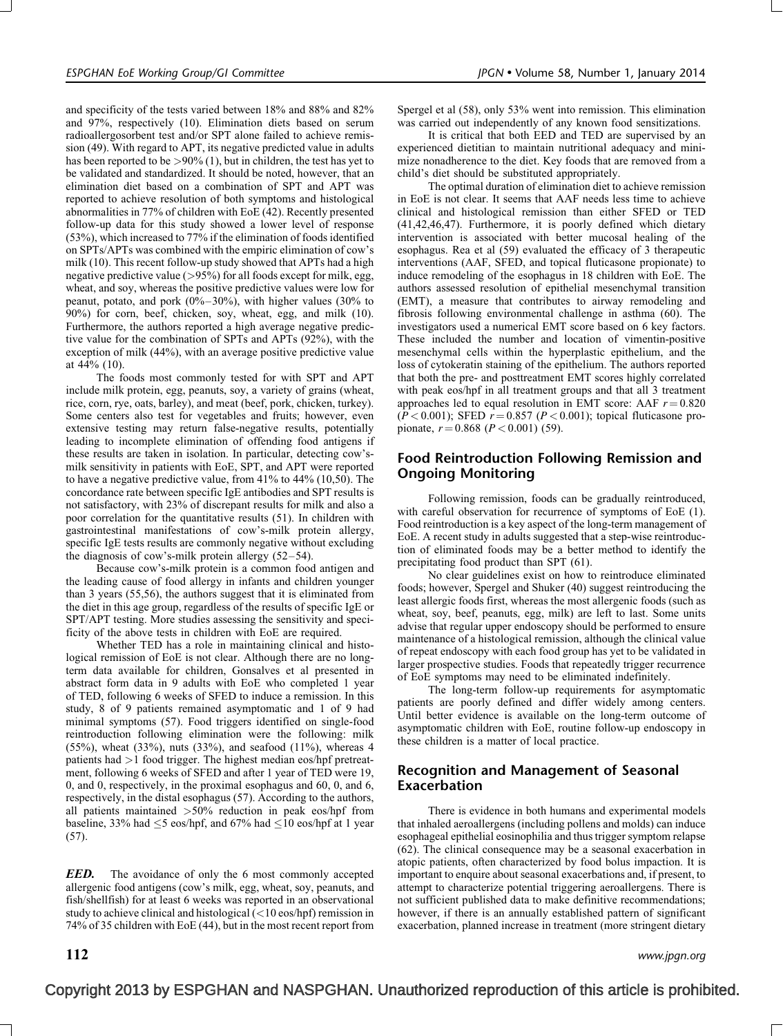and specificity of the tests varied between 18% and 88% and 82% and 97%, respectively (10). Elimination diets based on serum radioallergosorbent test and/or SPT alone failed to achieve remission (49). With regard to APT, its negative predicted value in adults has been reported to be  $>90\%$  (1), but in children, the test has yet to be validated and standardized. It should be noted, however, that an elimination diet based on a combination of SPT and APT was reported to achieve resolution of both symptoms and histological abnormalities in 77% of children with EoE (42). Recently presented follow-up data for this study showed a lower level of response (53%), which increased to 77% if the elimination of foods identified on SPTs/APTs was combined with the empiric elimination of cow's milk (10). This recent follow-up study showed that APTs had a high negative predictive value  $(>\!\!95\%)$  for all foods except for milk, egg, wheat, and soy, whereas the positive predictive values were low for peanut, potato, and pork  $(0\% - 30\%)$ , with higher values  $(30\%$  to 90%) for corn, beef, chicken, soy, wheat, egg, and milk (10). Furthermore, the authors reported a high average negative predictive value for the combination of SPTs and APTs (92%), with the exception of milk (44%), with an average positive predictive value at 44% (10).

The foods most commonly tested for with SPT and APT include milk protein, egg, peanuts, soy, a variety of grains (wheat, rice, corn, rye, oats, barley), and meat (beef, pork, chicken, turkey). Some centers also test for vegetables and fruits; however, even extensive testing may return false-negative results, potentially leading to incomplete elimination of offending food antigens if these results are taken in isolation. In particular, detecting cow'smilk sensitivity in patients with EoE, SPT, and APT were reported to have a negative predictive value, from 41% to 44% (10,50). The concordance rate between specific IgE antibodies and SPT results is not satisfactory, with 23% of discrepant results for milk and also a poor correlation for the quantitative results (51). In children with gastrointestinal manifestations of cow's-milk protein allergy, specific IgE tests results are commonly negative without excluding the diagnosis of cow's-milk protein allergy (52–54).

Because cow's-milk protein is a common food antigen and the leading cause of food allergy in infants and children younger than 3 years (55,56), the authors suggest that it is eliminated from the diet in this age group, regardless of the results of specific IgE or SPT/APT testing. More studies assessing the sensitivity and specificity of the above tests in children with EoE are required.

Whether TED has a role in maintaining clinical and histological remission of EoE is not clear. Although there are no longterm data available for children, Gonsalves et al presented in abstract form data in 9 adults with EoE who completed 1 year of TED, following 6 weeks of SFED to induce a remission. In this study, 8 of 9 patients remained asymptomatic and 1 of 9 had minimal symptoms (57). Food triggers identified on single-food reintroduction following elimination were the following: milk (55%), wheat (33%), nuts (33%), and seafood (11%), whereas 4 patients had >1 food trigger. The highest median eos/hpf pretreatment, following 6 weeks of SFED and after 1 year of TED were 19, 0, and 0, respectively, in the proximal esophagus and 60, 0, and 6, respectively, in the distal esophagus (57). According to the authors, all patients maintained >50% reduction in peak eos/hpf from baseline, 33% had  $\leq$ 5 eos/hpf, and 67% had  $\leq$ 10 eos/hpf at 1 year (57).

**EED.** The avoidance of only the 6 most commonly accepted allergenic food antigens (cow's milk, egg, wheat, soy, peanuts, and fish/shellfish) for at least 6 weeks was reported in an observational study to achieve clinical and histological (<10 eos/hpf) remission in 74% of 35 children with EoE (44), but in the most recent report from Spergel et al (58), only 53% went into remission. This elimination was carried out independently of any known food sensitizations.

It is critical that both EED and TED are supervised by an experienced dietitian to maintain nutritional adequacy and minimize nonadherence to the diet. Key foods that are removed from a child's diet should be substituted appropriately.

The optimal duration of elimination diet to achieve remission in EoE is not clear. It seems that AAF needs less time to achieve clinical and histological remission than either SFED or TED (41,42,46,47). Furthermore, it is poorly defined which dietary intervention is associated with better mucosal healing of the esophagus. Rea et al (59) evaluated the efficacy of 3 therapeutic interventions (AAF, SFED, and topical fluticasone propionate) to induce remodeling of the esophagus in 18 children with EoE. The authors assessed resolution of epithelial mesenchymal transition (EMT), a measure that contributes to airway remodeling and fibrosis following environmental challenge in asthma (60). The investigators used a numerical EMT score based on 6 key factors. These included the number and location of vimentin-positive mesenchymal cells within the hyperplastic epithelium, and the loss of cytokeratin staining of the epithelium. The authors reported that both the pre- and posttreatment EMT scores highly correlated with peak eos/hpf in all treatment groups and that all 3 treatment approaches led to equal resolution in EMT score: AAF  $r = 0.820$  $(P<0.001)$ ; SFED  $r = 0.857$   $(P<0.001)$ ; topical fluticasone propionate,  $r = 0.868$  ( $P < 0.001$ ) (59).

### Food Reintroduction Following Remission and Ongoing Monitoring

Following remission, foods can be gradually reintroduced, with careful observation for recurrence of symptoms of EoE (1). Food reintroduction is a key aspect of the long-term management of EoE. A recent study in adults suggested that a step-wise reintroduction of eliminated foods may be a better method to identify the precipitating food product than SPT (61).

No clear guidelines exist on how to reintroduce eliminated foods; however, Spergel and Shuker (40) suggest reintroducing the least allergic foods first, whereas the most allergenic foods (such as wheat, soy, beef, peanuts, egg, milk) are left to last. Some units advise that regular upper endoscopy should be performed to ensure maintenance of a histological remission, although the clinical value of repeat endoscopy with each food group has yet to be validated in larger prospective studies. Foods that repeatedly trigger recurrence of EoE symptoms may need to be eliminated indefinitely.

The long-term follow-up requirements for asymptomatic patients are poorly defined and differ widely among centers. Until better evidence is available on the long-term outcome of asymptomatic children with EoE, routine follow-up endoscopy in these children is a matter of local practice.

#### Recognition and Management of Seasonal Exacerbation

There is evidence in both humans and experimental models that inhaled aeroallergens (including pollens and molds) can induce esophageal epithelial eosinophilia and thus trigger symptom relapse (62). The clinical consequence may be a seasonal exacerbation in atopic patients, often characterized by food bolus impaction. It is important to enquire about seasonal exacerbations and, if present, to attempt to characterize potential triggering aeroallergens. There is not sufficient published data to make definitive recommendations; however, if there is an annually established pattern of significant exacerbation, planned increase in treatment (more stringent dietary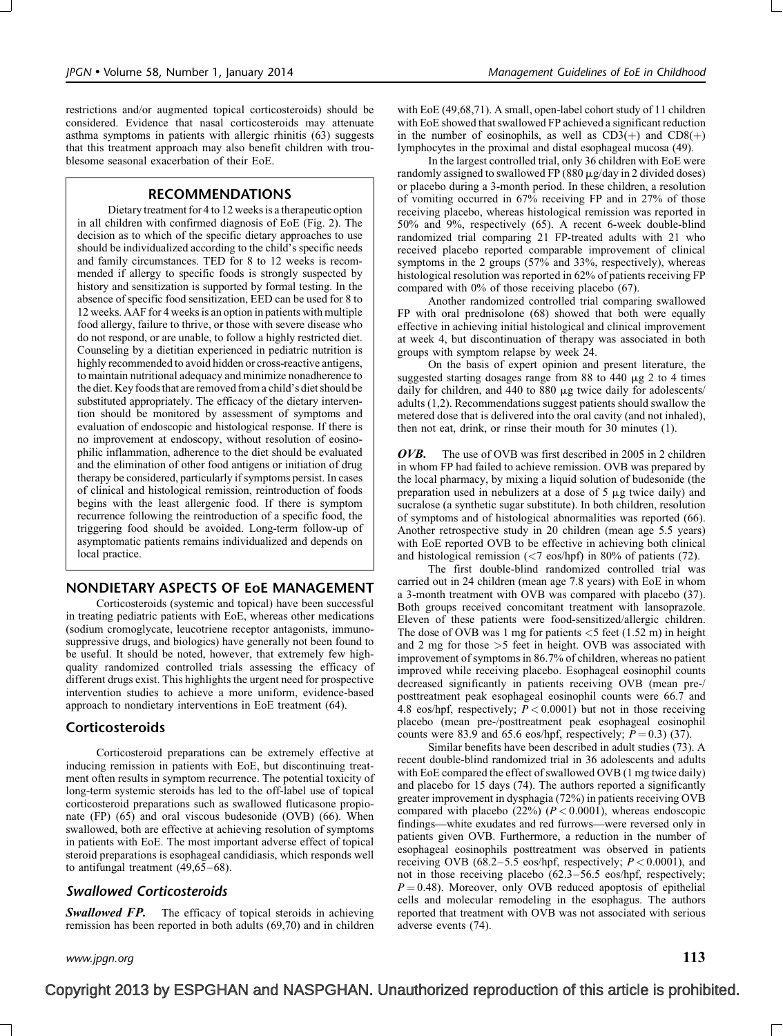restrictions and/or augmented topical corticosteroids) should be considered. Evidence that nasal corticosteroids may attenuate asthma symptoms in patients with allergic rhinitis (63) suggests that this treatment approach may also benefit children with troublesome seasonal exacerbation of their EoE.

#### RECOMMENDATIONS

Dietary treatment for 4 to 12 weeks is a therapeutic option in all children with confirmed diagnosis of EoE (Fig. 2). The decision as to which of the specific dietary approaches to use should be individualized according to the child's specific needs and family circumstances. TED for 8 to 12 weeks is recommended if allergy to specific foods is strongly suspected by history and sensitization is supported by formal testing. In the absence of specific food sensitization, EED can be used for 8 to 12 weeks. AAF for 4 weeks is an option in patients with multiple food allergy, failure to thrive, or those with severe disease who do not respond, or are unable, to follow a highly restricted diet. Counseling by a dietitian experienced in pediatric nutrition is highly recommended to avoid hidden or cross-reactive antigens, to maintain nutritional adequacy and minimize nonadherence to the diet. Key foods that are removed from a child's diet should be substituted appropriately. The efficacy of the dietary intervention should be monitored by assessment of symptoms and evaluation of endoscopic and histological response. If there is no improvement at endoscopy, without resolution of eosinophilic inflammation, adherence to the diet should be evaluated and the elimination of other food antigens or initiation of drug therapy be considered, particularly if symptoms persist. In cases of clinical and histological remission, reintroduction of foods begins with the least allergenic food. If there is symptom recurrence following the reintroduction of a specific food, the triggering food should be avoided. Long-term follow-up of asymptomatic patients remains individualized and depends on local practice.

### NONDIETARY ASPECTS OF EoE MANAGEMENT

Corticosteroids (systemic and topical) have been successful in treating pediatric patients with EoE, whereas other medications (sodium cromoglycate, leucotriene receptor antagonists, immunosuppressive drugs, and biologics) have generally not been found to be useful. It should be noted, however, that extremely few highquality randomized controlled trials assessing the efficacy of different drugs exist. This highlights the urgent need for prospective intervention studies to achieve a more uniform, evidence-based approach to nondietary interventions in EoE treatment (64).

#### Corticosteroids

Corticosteroid preparations can be extremely effective at inducing remission in patients with EoE, but discontinuing treatment often results in symptom recurrence. The potential toxicity of long-term systemic steroids has led to the off-label use of topical corticosteroid preparations such as swallowed fluticasone propionate (FP) (65) and oral viscous budesonide (OVB) (66). When swallowed, both are effective at achieving resolution of symptoms in patients with EoE. The most important adverse effect of topical steroid preparations is esophageal candidiasis, which responds well to antifungal treatment (49,65–68).

### Swallowed Corticosteroids

**Swallowed FP.** The efficacy of topical steroids in achieving remission has been reported in both adults (69,70) and in children with EoE (49,68,71). A small, open-label cohort study of 11 children with EoE showed that swallowed FP achieved a significant reduction in the number of eosinophils, as well as  $CD3(+)$  and  $CD8(+)$ lymphocytes in the proximal and distal esophageal mucosa (49).

In the largest controlled trial, only 36 children with EoE were randomly assigned to swallowed FP (880  $\mu$ g/day in 2 divided doses) or placebo during a 3-month period. In these children, a resolution of vomiting occurred in 67% receiving FP and in 27% of those receiving placebo, whereas histological remission was reported in 50% and 9%, respectively (65). A recent 6-week double-blind randomized trial comparing 21 FP-treated adults with 21 who received placebo reported comparable improvement of clinical symptoms in the 2 groups (57% and 33%, respectively), whereas histological resolution was reported in 62% of patients receiving FP compared with 0% of those receiving placebo (67).

Another randomized controlled trial comparing swallowed FP with oral prednisolone (68) showed that both were equally effective in achieving initial histological and clinical improvement at week 4, but discontinuation of therapy was associated in both groups with symptom relapse by week 24.

On the basis of expert opinion and present literature, the suggested starting dosages range from 88 to 440  $\mu$ g 2 to 4 times daily for children, and 440 to 880  $\mu$ g twice daily for adolescents/ adults (1,2). Recommendations suggest patients should swallow the metered dose that is delivered into the oral cavity (and not inhaled), then not eat, drink, or rinse their mouth for 30 minutes (1).

OVB. The use of OVB was first described in 2005 in 2 children in whom FP had failed to achieve remission. OVB was prepared by the local pharmacy, by mixing a liquid solution of budesonide (the preparation used in nebulizers at a dose of  $5 \mu g$  twice daily) and sucralose (a synthetic sugar substitute). In both children, resolution of symptoms and of histological abnormalities was reported (66). Another retrospective study in 20 children (mean age 5.5 years) with EoE reported OVB to be effective in achieving both clinical and histological remission  $\left(\frac{5}{2}\right)$  eos/hpf) in 80% of patients (72).

The first double-blind randomized controlled trial was carried out in 24 children (mean age 7.8 years) with EoE in whom a 3-month treatment with OVB was compared with placebo (37). Both groups received concomitant treatment with lansoprazole. Eleven of these patients were food-sensitized/allergic children. The dose of OVB was 1 mg for patients  $<$  5 feet (1.52 m) in height and 2 mg for those >5 feet in height. OVB was associated with improvement of symptoms in 86.7% of children, whereas no patient improved while receiving placebo. Esophageal eosinophil counts decreased significantly in patients receiving OVB (mean pre-/ posttreatment peak esophageal eosinophil counts were 66.7 and 4.8 eos/hpf, respectively;  $P < 0.0001$ ) but not in those receiving placebo (mean pre-/posttreatment peak esophageal eosinophil counts were 83.9 and 65.6 eos/hpf, respectively;  $P = 0.3$ ) (37).

Similar benefits have been described in adult studies (73). A recent double-blind randomized trial in 36 adolescents and adults with EoE compared the effect of swallowed OVB (1 mg twice daily) and placebo for 15 days (74). The authors reported a significantly greater improvement in dysphagia (72%) in patients receiving OVB compared with placebo  $(22%) (P < 0.0001)$ , whereas endoscopic findings—white exudates and red furrows—were reversed only in patients given OVB. Furthermore, a reduction in the number of esophageal eosinophils posttreatment was observed in patients receiving OVB (68.2–5.5 eos/hpf, respectively;  $P < 0.0001$ ), and not in those receiving placebo (62.3–56.5 eos/hpf, respectively;  $P = 0.48$ ). Moreover, only OVB reduced apoptosis of epithelial cells and molecular remodeling in the esophagus. The authors reported that treatment with OVB was not associated with serious adverse events (74).

www.jpgn.org 113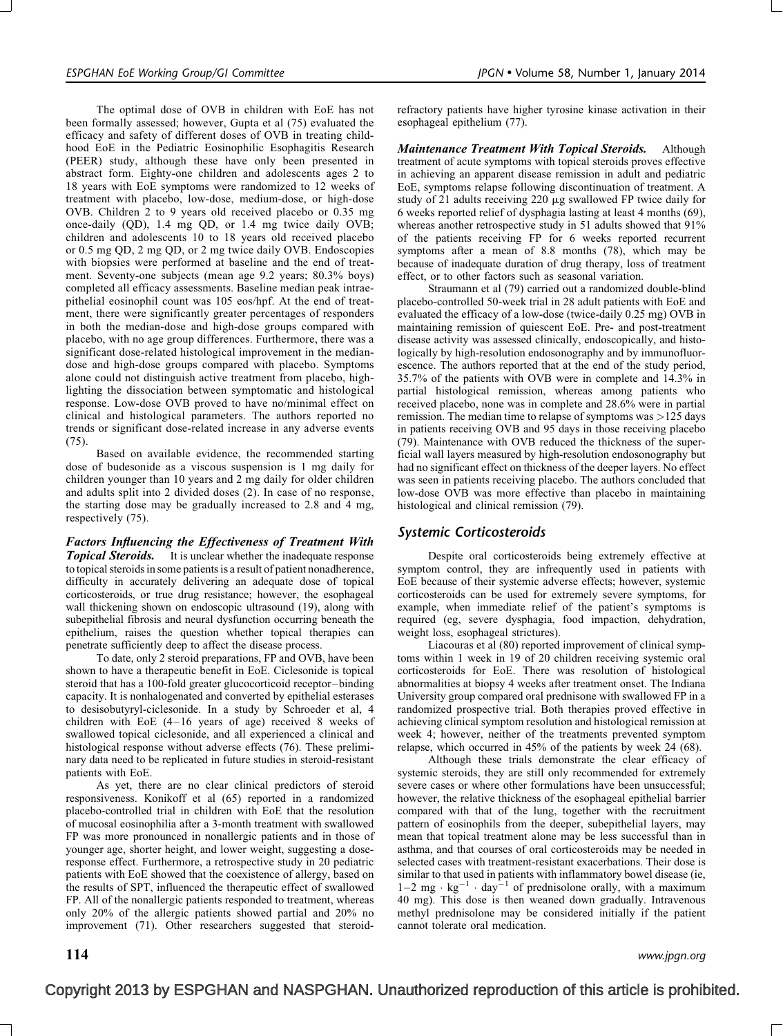The optimal dose of OVB in children with EoE has not been formally assessed; however, Gupta et al (75) evaluated the efficacy and safety of different doses of OVB in treating childhood EoE in the Pediatric Eosinophilic Esophagitis Research (PEER) study, although these have only been presented in abstract form. Eighty-one children and adolescents ages 2 to 18 years with EoE symptoms were randomized to 12 weeks of treatment with placebo, low-dose, medium-dose, or high-dose OVB. Children 2 to 9 years old received placebo or 0.35 mg once-daily (QD), 1.4 mg QD, or 1.4 mg twice daily OVB; children and adolescents 10 to 18 years old received placebo or 0.5 mg QD, 2 mg QD, or 2 mg twice daily OVB. Endoscopies with biopsies were performed at baseline and the end of treatment. Seventy-one subjects (mean age 9.2 years; 80.3% boys) completed all efficacy assessments. Baseline median peak intraepithelial eosinophil count was 105 eos/hpf. At the end of treatment, there were significantly greater percentages of responders in both the median-dose and high-dose groups compared with placebo, with no age group differences. Furthermore, there was a significant dose-related histological improvement in the mediandose and high-dose groups compared with placebo. Symptoms alone could not distinguish active treatment from placebo, highlighting the dissociation between symptomatic and histological response. Low-dose OVB proved to have no/minimal effect on clinical and histological parameters. The authors reported no trends or significant dose-related increase in any adverse events (75).

Based on available evidence, the recommended starting dose of budesonide as a viscous suspension is 1 mg daily for children younger than 10 years and 2 mg daily for older children and adults split into 2 divided doses (2). In case of no response, the starting dose may be gradually increased to 2.8 and 4 mg, respectively (75).

#### Factors Influencing the Effectiveness of Treatment With **Topical Steroids.** It is unclear whether the inadequate response to topical steroids in some patients is a result of patient nonadherence, difficulty in accurately delivering an adequate dose of topical

corticosteroids, or true drug resistance; however, the esophageal wall thickening shown on endoscopic ultrasound (19), along with subepithelial fibrosis and neural dysfunction occurring beneath the epithelium, raises the question whether topical therapies can penetrate sufficiently deep to affect the disease process.

To date, only 2 steroid preparations, FP and OVB, have been shown to have a therapeutic benefit in EoE. Ciclesonide is topical steroid that has a 100-fold greater glucocorticoid receptor–binding capacity. It is nonhalogenated and converted by epithelial esterases to desisobutyryl-ciclesonide. In a study by Schroeder et al, 4 children with EoE (4–16 years of age) received 8 weeks of swallowed topical ciclesonide, and all experienced a clinical and histological response without adverse effects (76). These preliminary data need to be replicated in future studies in steroid-resistant patients with EoE.

As yet, there are no clear clinical predictors of steroid responsiveness. Konikoff et al (65) reported in a randomized placebo-controlled trial in children with EoE that the resolution of mucosal eosinophilia after a 3-month treatment with swallowed FP was more pronounced in nonallergic patients and in those of younger age, shorter height, and lower weight, suggesting a doseresponse effect. Furthermore, a retrospective study in 20 pediatric patients with EoE showed that the coexistence of allergy, based on the results of SPT, influenced the therapeutic effect of swallowed FP. All of the nonallergic patients responded to treatment, whereas only 20% of the allergic patients showed partial and 20% no improvement (71). Other researchers suggested that steroid-

refractory patients have higher tyrosine kinase activation in their esophageal epithelium (77).

Maintenance Treatment With Topical Steroids. Although treatment of acute symptoms with topical steroids proves effective in achieving an apparent disease remission in adult and pediatric EoE, symptoms relapse following discontinuation of treatment. A study of 21 adults receiving 220  $\mu$ g swallowed FP twice daily for 6 weeks reported relief of dysphagia lasting at least 4 months (69), whereas another retrospective study in 51 adults showed that 91% of the patients receiving FP for 6 weeks reported recurrent symptoms after a mean of 8.8 months (78), which may be because of inadequate duration of drug therapy, loss of treatment effect, or to other factors such as seasonal variation.

Straumann et al (79) carried out a randomized double-blind placebo-controlled 50-week trial in 28 adult patients with EoE and evaluated the efficacy of a low-dose (twice-daily 0.25 mg) OVB in maintaining remission of quiescent EoE. Pre- and post-treatment disease activity was assessed clinically, endoscopically, and histologically by high-resolution endosonography and by immunofluorescence. The authors reported that at the end of the study period, 35.7% of the patients with OVB were in complete and 14.3% in partial histological remission, whereas among patients who received placebo, none was in complete and 28.6% were in partial remission. The median time to relapse of symptoms was >125 days in patients receiving OVB and 95 days in those receiving placebo (79). Maintenance with OVB reduced the thickness of the superficial wall layers measured by high-resolution endosonography but had no significant effect on thickness of the deeper layers. No effect was seen in patients receiving placebo. The authors concluded that low-dose OVB was more effective than placebo in maintaining histological and clinical remission (79).

#### Systemic Corticosteroids

Despite oral corticosteroids being extremely effective at symptom control, they are infrequently used in patients with EoE because of their systemic adverse effects; however, systemic corticosteroids can be used for extremely severe symptoms, for example, when immediate relief of the patient's symptoms is required (eg, severe dysphagia, food impaction, dehydration, weight loss, esophageal strictures).

Liacouras et al (80) reported improvement of clinical symptoms within 1 week in 19 of 20 children receiving systemic oral corticosteroids for EoE. There was resolution of histological abnormalities at biopsy 4 weeks after treatment onset. The Indiana University group compared oral prednisone with swallowed FP in a randomized prospective trial. Both therapies proved effective in achieving clinical symptom resolution and histological remission at week 4; however, neither of the treatments prevented symptom relapse, which occurred in 45% of the patients by week 24 (68).

Although these trials demonstrate the clear efficacy of systemic steroids, they are still only recommended for extremely severe cases or where other formulations have been unsuccessful; however, the relative thickness of the esophageal epithelial barrier compared with that of the lung, together with the recruitment pattern of eosinophils from the deeper, subepithelial layers, may mean that topical treatment alone may be less successful than in asthma, and that courses of oral corticosteroids may be needed in selected cases with treatment-resistant exacerbations. Their dose is similar to that used in patients with inflammatory bowel disease (ie,  $1-2$  mg  $\cdot$  kg<sup>-1</sup>  $\cdot$  day<sup>-1</sup> of prednisolone orally, with a maximum 40 mg). This dose is then weaned down gradually. Intravenous methyl prednisolone may be considered initially if the patient cannot tolerate oral medication.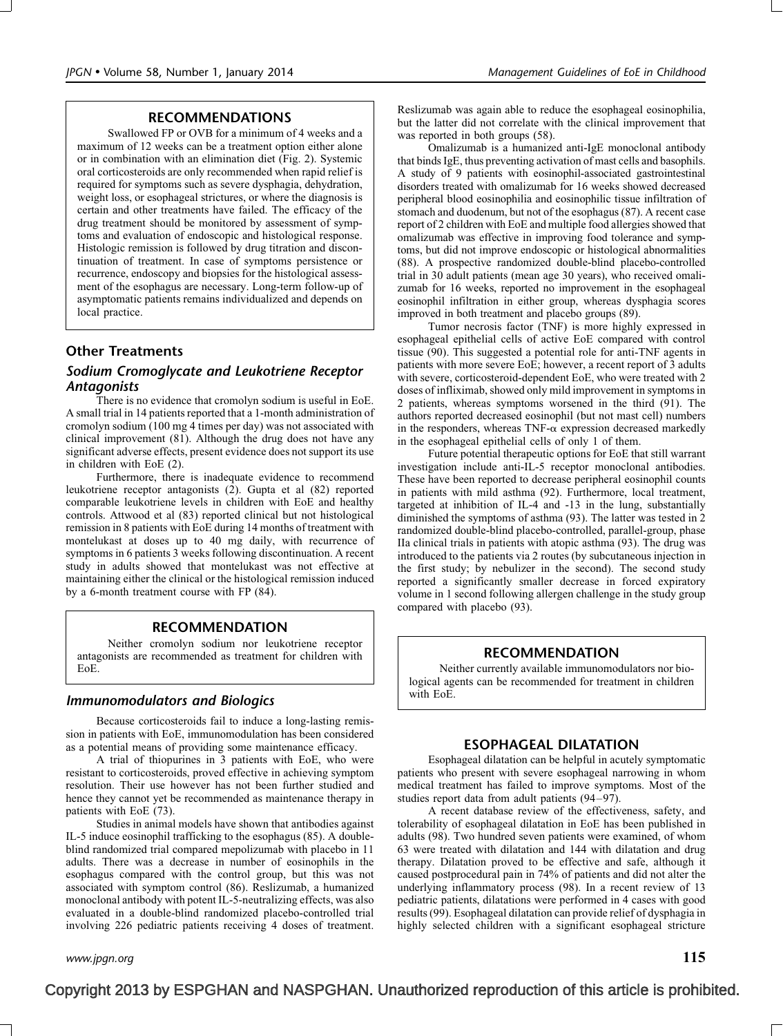#### RECOMMENDATIONS

Swallowed FP or OVB for a minimum of 4 weeks and a maximum of 12 weeks can be a treatment option either alone or in combination with an elimination diet (Fig. 2). Systemic oral corticosteroids are only recommended when rapid relief is required for symptoms such as severe dysphagia, dehydration, weight loss, or esophageal strictures, or where the diagnosis is certain and other treatments have failed. The efficacy of the drug treatment should be monitored by assessment of symptoms and evaluation of endoscopic and histological response. Histologic remission is followed by drug titration and discontinuation of treatment. In case of symptoms persistence or recurrence, endoscopy and biopsies for the histological assessment of the esophagus are necessary. Long-term follow-up of asymptomatic patients remains individualized and depends on local practice.

### Other Treatments

#### Sodium Cromoglycate and Leukotriene Receptor **Antagonists**

There is no evidence that cromolyn sodium is useful in EoE. A small trial in 14 patients reported that a 1-month administration of cromolyn sodium (100 mg 4 times per day) was not associated with clinical improvement (81). Although the drug does not have any significant adverse effects, present evidence does not support its use in children with EoE (2).

Furthermore, there is inadequate evidence to recommend leukotriene receptor antagonists (2). Gupta et al (82) reported comparable leukotriene levels in children with EoE and healthy controls. Attwood et al (83) reported clinical but not histological remission in 8 patients with EoE during 14 months of treatment with montelukast at doses up to 40 mg daily, with recurrence of symptoms in 6 patients 3 weeks following discontinuation. A recent study in adults showed that montelukast was not effective at maintaining either the clinical or the histological remission induced by a 6-month treatment course with FP (84).

#### RECOMMENDATION

Neither cromolyn sodium nor leukotriene receptor antagonists are recommended as treatment for children with EoE.

#### Immunomodulators and Biologics

Because corticosteroids fail to induce a long-lasting remission in patients with EoE, immunomodulation has been considered as a potential means of providing some maintenance efficacy.

A trial of thiopurines in 3 patients with EoE, who were resistant to corticosteroids, proved effective in achieving symptom resolution. Their use however has not been further studied and hence they cannot yet be recommended as maintenance therapy in patients with EoE (73).

Studies in animal models have shown that antibodies against IL-5 induce eosinophil trafficking to the esophagus (85). A doubleblind randomized trial compared mepolizumab with placebo in 11 adults. There was a decrease in number of eosinophils in the esophagus compared with the control group, but this was not associated with symptom control (86). Reslizumab, a humanized monoclonal antibody with potent IL-5-neutralizing effects, was also evaluated in a double-blind randomized placebo-controlled trial involving 226 pediatric patients receiving 4 doses of treatment.

www.jpgn.org 115

Reslizumab was again able to reduce the esophageal eosinophilia, but the latter did not correlate with the clinical improvement that was reported in both groups (58).

Omalizumab is a humanized anti-IgE monoclonal antibody that binds IgE, thus preventing activation of mast cells and basophils. A study of 9 patients with eosinophil-associated gastrointestinal disorders treated with omalizumab for 16 weeks showed decreased peripheral blood eosinophilia and eosinophilic tissue infiltration of stomach and duodenum, but not of the esophagus (87). A recent case report of 2 children with EoE and multiple food allergies showed that omalizumab was effective in improving food tolerance and symptoms, but did not improve endoscopic or histological abnormalities (88). A prospective randomized double-blind placebo-controlled trial in 30 adult patients (mean age 30 years), who received omalizumab for 16 weeks, reported no improvement in the esophageal eosinophil infiltration in either group, whereas dysphagia scores improved in both treatment and placebo groups (89).

Tumor necrosis factor (TNF) is more highly expressed in esophageal epithelial cells of active EoE compared with control tissue (90). This suggested a potential role for anti-TNF agents in patients with more severe EoE; however, a recent report of 3 adults with severe, corticosteroid-dependent EoE, who were treated with 2 doses of infliximab, showed only mild improvement in symptoms in 2 patients, whereas symptoms worsened in the third (91). The authors reported decreased eosinophil (but not mast cell) numbers in the responders, whereas TNF- $\alpha$  expression decreased markedly in the esophageal epithelial cells of only 1 of them.

Future potential therapeutic options for EoE that still warrant investigation include anti-IL-5 receptor monoclonal antibodies. These have been reported to decrease peripheral eosinophil counts in patients with mild asthma (92). Furthermore, local treatment, targeted at inhibition of IL-4 and -13 in the lung, substantially diminished the symptoms of asthma (93). The latter was tested in 2 randomized double-blind placebo-controlled, parallel-group, phase IIa clinical trials in patients with atopic asthma (93). The drug was introduced to the patients via 2 routes (by subcutaneous injection in the first study; by nebulizer in the second). The second study reported a significantly smaller decrease in forced expiratory volume in 1 second following allergen challenge in the study group compared with placebo (93).

#### RECOMMENDATION

Neither currently available immunomodulators nor biological agents can be recommended for treatment in children with EoE.

#### ESOPHAGEAL DILATATION

Esophageal dilatation can be helpful in acutely symptomatic patients who present with severe esophageal narrowing in whom medical treatment has failed to improve symptoms. Most of the studies report data from adult patients (94–97).

A recent database review of the effectiveness, safety, and tolerability of esophageal dilatation in EoE has been published in adults (98). Two hundred seven patients were examined, of whom 63 were treated with dilatation and 144 with dilatation and drug therapy. Dilatation proved to be effective and safe, although it caused postprocedural pain in 74% of patients and did not alter the underlying inflammatory process (98). In a recent review of 13 pediatric patients, dilatations were performed in 4 cases with good results (99). Esophageal dilatation can provide relief of dysphagia in highly selected children with a significant esophageal stricture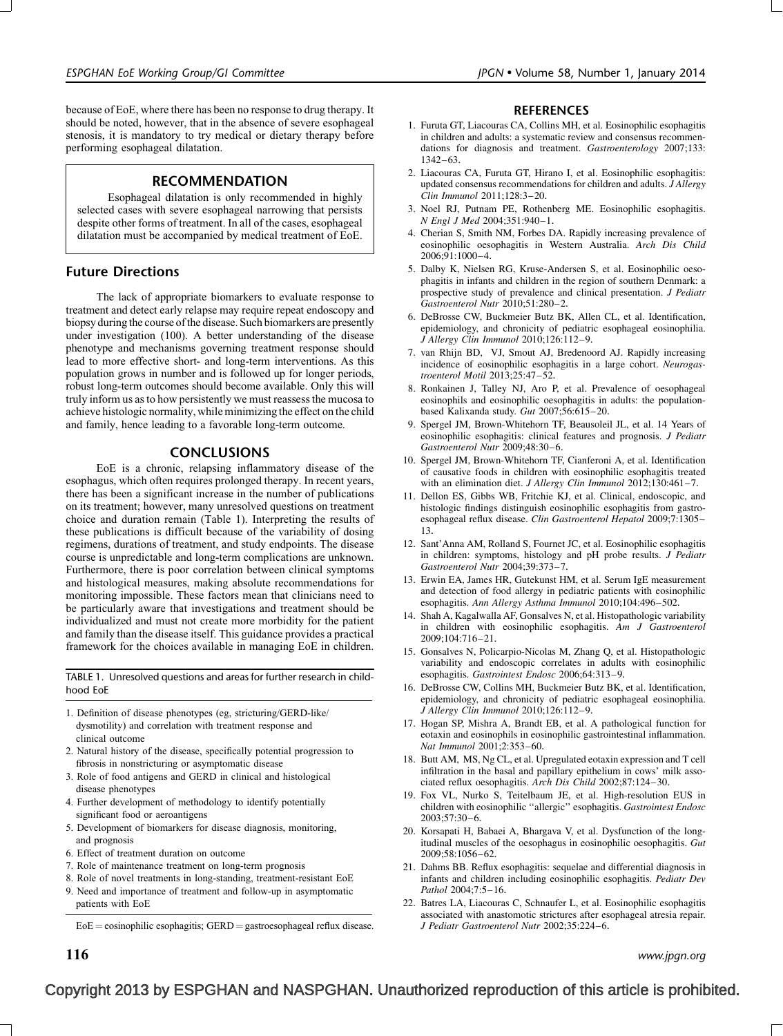because of EoE, where there has been no response to drug therapy. It should be noted, however, that in the absence of severe esophageal stenosis, it is mandatory to try medical or dietary therapy before performing esophageal dilatation.

#### RECOMMENDATION

Esophageal dilatation is only recommended in highly selected cases with severe esophageal narrowing that persists despite other forms of treatment. In all of the cases, esophageal dilatation must be accompanied by medical treatment of EoE.

#### Future Directions

The lack of appropriate biomarkers to evaluate response to treatment and detect early relapse may require repeat endoscopy and biopsy during the course of the disease. Such biomarkers are presently under investigation (100). A better understanding of the disease phenotype and mechanisms governing treatment response should lead to more effective short- and long-term interventions. As this population grows in number and is followed up for longer periods, robust long-term outcomes should become available. Only this will truly inform us as to how persistently we must reassess the mucosa to achieve histologic normality, while minimizing the effect on the child and family, hence leading to a favorable long-term outcome.

#### CONCLUSIONS

EoE is a chronic, relapsing inflammatory disease of the esophagus, which often requires prolonged therapy. In recent years, there has been a significant increase in the number of publications on its treatment; however, many unresolved questions on treatment choice and duration remain (Table 1). Interpreting the results of these publications is difficult because of the variability of dosing regimens, durations of treatment, and study endpoints. The disease course is unpredictable and long-term complications are unknown. Furthermore, there is poor correlation between clinical symptoms and histological measures, making absolute recommendations for monitoring impossible. These factors mean that clinicians need to be particularly aware that investigations and treatment should be individualized and must not create more morbidity for the patient and family than the disease itself. This guidance provides a practical framework for the choices available in managing EoE in children.

TABLE 1. Unresolved questions and areas for further research in childhood EoE

- 1. Definition of disease phenotypes (eg, stricturing/GERD-like/ dysmotility) and correlation with treatment response and clinical outcome
- 2. Natural history of the disease, specifically potential progression to fibrosis in nonstricturing or asymptomatic disease
- 3. Role of food antigens and GERD in clinical and histological disease phenotypes
- 4. Further development of methodology to identify potentially significant food or aeroantigens
- 5. Development of biomarkers for disease diagnosis, monitoring, and prognosis
- 6. Effect of treatment duration on outcome
- 7. Role of maintenance treatment on long-term prognosis
- 8. Role of novel treatments in long-standing, treatment-resistant EoE
- 9. Need and importance of treatment and follow-up in asymptomatic patients with EoE

 $EoE =$  eosinophilic esophagitis;  $GERD =$  gastroesophageal reflux disease.

#### REFERENCES

- 1. Furuta GT, Liacouras CA, Collins MH, et al. Eosinophilic esophagitis in children and adults: a systematic review and consensus recommendations for diagnosis and treatment. Gastroenterology 2007;133: 1342–63.
- 2. Liacouras CA, Furuta GT, Hirano I, et al. Eosinophilic esophagitis: updated consensus recommendations for children and adults. J Allergy Clin Immunol 2011;128:3–20.
- 3. Noel RJ, Putnam PE, Rothenberg ME. Eosinophilic esophagitis. N Engl J Med 2004;351:940–1.
- 4. Cherian S, Smith NM, Forbes DA. Rapidly increasing prevalence of eosinophilic oesophagitis in Western Australia. Arch Dis Child 2006;91:1000–4.
- 5. Dalby K, Nielsen RG, Kruse-Andersen S, et al. Eosinophilic oesophagitis in infants and children in the region of southern Denmark: a prospective study of prevalence and clinical presentation. *J Pediatr* Gastroenterol Nutr 2010;51:280–2.
- 6. DeBrosse CW, Buckmeier Butz BK, Allen CL, et al. Identification, epidemiology, and chronicity of pediatric esophageal eosinophilia. J Allergy Clin Immunol 2010;126:112–9.
- 7. van Rhijn BD, VJ, Smout AJ, Bredenoord AJ. Rapidly increasing incidence of eosinophilic esophagitis in a large cohort. Neurogastroenterol Motil 2013;25:47–52.
- 8. Ronkainen J, Talley NJ, Aro P, et al. Prevalence of oesophageal eosinophils and eosinophilic oesophagitis in adults: the populationbased Kalixanda study. Gut 2007;56:615–20.
- 9. Spergel JM, Brown-Whitehorn TF, Beausoleil JL, et al. 14 Years of eosinophilic esophagitis: clinical features and prognosis. J Pediatr Gastroenterol Nutr 2009;48:30–6.
- 10. Spergel JM, Brown-Whitehorn TF, Cianferoni A, et al. Identification of causative foods in children with eosinophilic esophagitis treated with an elimination diet. *J Allergy Clin Immunol*  $2012:130:461-7$ .
- 11. Dellon ES, Gibbs WB, Fritchie KJ, et al. Clinical, endoscopic, and histologic findings distinguish eosinophilic esophagitis from gastroesophageal reflux disease. Clin Gastroenterol Hepatol 2009;7:1305– 13.
- 12. Sant'Anna AM, Rolland S, Fournet JC, et al. Eosinophilic esophagitis in children: symptoms, histology and pH probe results. J Pediatr Gastroenterol Nutr 2004;39:373–7.
- 13. Erwin EA, James HR, Gutekunst HM, et al. Serum IgE measurement and detection of food allergy in pediatric patients with eosinophilic esophagitis. Ann Allergy Asthma Immunol 2010;104:496–502.
- 14. Shah A, Kagalwalla AF, Gonsalves N, et al. Histopathologic variability in children with eosinophilic esophagitis. Am J Gastroenterol 2009;104:716–21.
- 15. Gonsalves N, Policarpio-Nicolas M, Zhang Q, et al. Histopathologic variability and endoscopic correlates in adults with eosinophilic esophagitis. Gastrointest Endosc 2006;64:313–9.
- 16. DeBrosse CW, Collins MH, Buckmeier Butz BK, et al. Identification, epidemiology, and chronicity of pediatric esophageal eosinophilia. J Allergy Clin Immunol 2010;126:112–9.
- 17. Hogan SP, Mishra A, Brandt EB, et al. A pathological function for eotaxin and eosinophils in eosinophilic gastrointestinal inflammation. Nat Immunol 2001;2:353–60.
- 18. Butt AM, MS, Ng CL, et al. Upregulated eotaxin expression and T cell infiltration in the basal and papillary epithelium in cows' milk associated reflux oesophagitis. Arch Dis Child 2002;87:124–30.
- 19. Fox VL, Nurko S, Teitelbaum JE, et al. High-resolution EUS in children with eosinophilic "allergic" esophagitis. Gastrointest Endosc 2003;57:30–6.
- 20. Korsapati H, Babaei A, Bhargava V, et al. Dysfunction of the longitudinal muscles of the oesophagus in eosinophilic oesophagitis. Gut 2009;58:1056–62.
- 21. Dahms BB. Reflux esophagitis: sequelae and differential diagnosis in infants and children including eosinophilic esophagitis. Pediatr Dev Pathol 2004;7:5–16.
- 22. Batres LA, Liacouras C, Schnaufer L, et al. Eosinophilic esophagitis associated with anastomotic strictures after esophageal atresia repair. J Pediatr Gastroenterol Nutr 2002;35:224–6.

 $116 \hspace{0.2cm}$  www.jpgn.org  $\hspace{0.2cm}$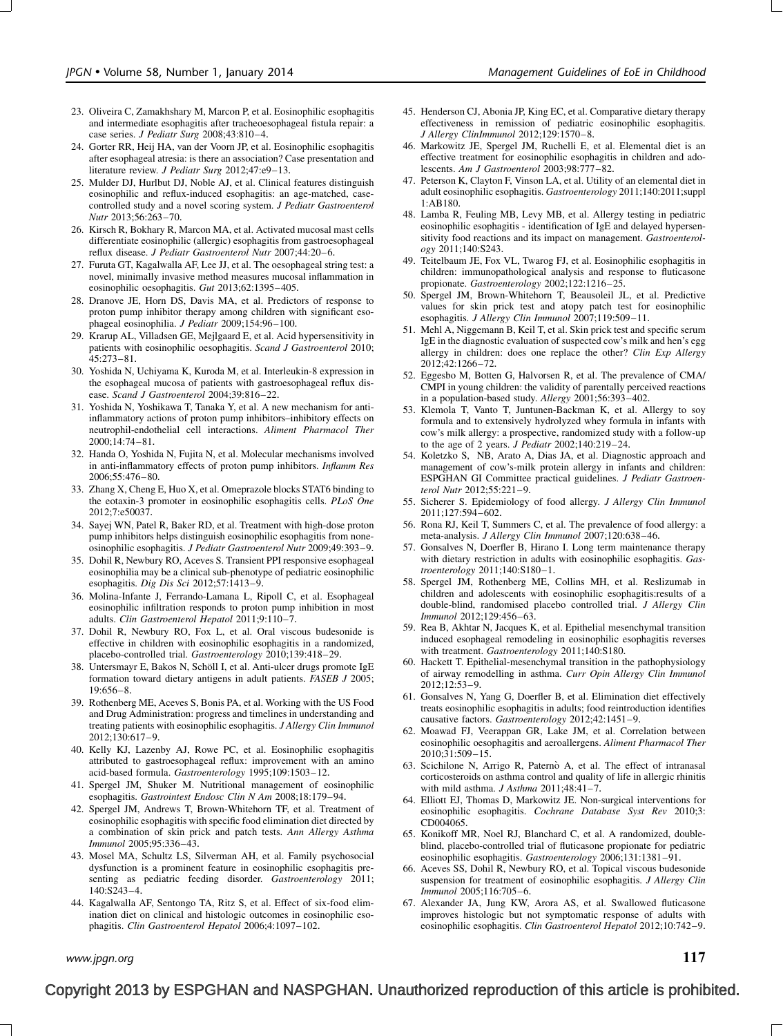- 23. Oliveira C, Zamakhshary M, Marcon P, et al. Eosinophilic esophagitis and intermediate esophagitis after tracheoesophageal fistula repair: a case series. J Pediatr Surg 2008;43:810–4.
- 24. Gorter RR, Heij HA, van der Voorn JP, et al. Eosinophilic esophagitis after esophageal atresia: is there an association? Case presentation and literature review. J Pediatr Surg 2012;47:e9–13.
- 25. Mulder DJ, Hurlbut DJ, Noble AJ, et al. Clinical features distinguish eosinophilic and reflux-induced esophagitis: an age-matched, casecontrolled study and a novel scoring system. J Pediatr Gastroenterol Nutr 2013;56:263–70.
- 26. Kirsch R, Bokhary R, Marcon MA, et al. Activated mucosal mast cells differentiate eosinophilic (allergic) esophagitis from gastroesophageal reflux disease. J Pediatr Gastroenterol Nutr 2007;44:20–6.
- 27. Furuta GT, Kagalwalla AF, Lee JJ, et al. The oesophageal string test: a novel, minimally invasive method measures mucosal inflammation in eosinophilic oesophagitis. Gut 2013;62:1395–405.
- 28. Dranove JE, Horn DS, Davis MA, et al. Predictors of response to proton pump inhibitor therapy among children with significant esophageal eosinophilia. J Pediatr 2009;154:96–100.
- 29. Krarup AL, Villadsen GE, Mejlgaard E, et al. Acid hypersensitivity in patients with eosinophilic oesophagitis. Scand J Gastroenterol 2010;  $45:273 - 81$ .
- 30. Yoshida N, Uchiyama K, Kuroda M, et al. Interleukin-8 expression in the esophageal mucosa of patients with gastroesophageal reflux disease. Scand J Gastroenterol 2004;39:816–22.
- 31. Yoshida N, Yoshikawa T, Tanaka Y, et al. A new mechanism for antiinflammatory actions of proton pump inhibitors–inhibitory effects on neutrophil-endothelial cell interactions. Aliment Pharmacol Ther 2000;14:74–81.
- 32. Handa O, Yoshida N, Fujita N, et al. Molecular mechanisms involved in anti-inflammatory effects of proton pump inhibitors. Inflamm Res 2006;55:476–80.
- 33. Zhang X, Cheng E, Huo X, et al. Omeprazole blocks STAT6 binding to the eotaxin-3 promoter in eosinophilic esophagitis cells. PLoS One 2012;7:e50037.
- 34. Sayej WN, Patel R, Baker RD, et al. Treatment with high-dose proton pump inhibitors helps distinguish eosinophilic esophagitis from noneosinophilic esophagitis. J Pediatr Gastroenterol Nutr 2009;49:393–9.
- 35. Dohil R, Newbury RO, Aceves S. Transient PPI responsive esophageal eosinophilia may be a clinical sub-phenotype of pediatric eosinophilic esophagitis. Dig Dis Sci 2012;57:1413–9.
- 36. Molina-Infante J, Ferrando-Lamana L, Ripoll C, et al. Esophageal eosinophilic infiltration responds to proton pump inhibition in most adults. Clin Gastroenterol Hepatol 2011;9:110–7.
- 37. Dohil R, Newbury RO, Fox L, et al. Oral viscous budesonide is effective in children with eosinophilic esophagitis in a randomized, placebo-controlled trial. Gastroenterology 2010;139:418–29.
- 38. Untersmayr E, Bakos N, Schöll I, et al. Anti-ulcer drugs promote IgE formation toward dietary antigens in adult patients. FASEB J 2005; 19:656–8.
- 39. Rothenberg ME, Aceves S, Bonis PA, et al. Working with the US Food and Drug Administration: progress and timelines in understanding and treating patients with eosinophilic esophagitis. J Allergy Clin Immunol 2012;130:617–9.
- 40. Kelly KJ, Lazenby AJ, Rowe PC, et al. Eosinophilic esophagitis attributed to gastroesophageal reflux: improvement with an amino acid-based formula. Gastroenterology 1995;109:1503–12.
- 41. Spergel JM, Shuker M. Nutritional management of eosinophilic esophagitis. Gastrointest Endosc Clin N Am 2008;18:179–94.
- 42. Spergel JM, Andrews T, Brown-Whitehorn TF, et al. Treatment of eosinophilic esophagitis with specific food elimination diet directed by a combination of skin prick and patch tests. Ann Allergy Asthma Immunol 2005;95:336–43.
- 43. Mosel MA, Schultz LS, Silverman AH, et al. Family psychosocial dysfunction is a prominent feature in eosinophilic esophagitis presenting as pediatric feeding disorder. Gastroenterology 2011; 140:S243–4.
- 44. Kagalwalla AF, Sentongo TA, Ritz S, et al. Effect of six-food elimination diet on clinical and histologic outcomes in eosinophilic esophagitis. Clin Gastroenterol Hepatol 2006;4:1097–102.

45. Henderson CJ, Abonia JP, King EC, et al. Comparative dietary therapy effectiveness in remission of pediatric eosinophilic esophagitis. J Allergy ClinImmunol 2012;129:1570–8.

- 46. Markowitz JE, Spergel JM, Ruchelli E, et al. Elemental diet is an effective treatment for eosinophilic esophagitis in children and adolescents. Am J Gastroenterol 2003;98:777–82.
- 47. Peterson K, Clayton F, Vinson LA, et al. Utility of an elemental diet in adult eosinophilic esophagitis. Gastroenterology 2011;140:2011;suppl 1:AB180.
- 48. Lamba R, Feuling MB, Levy MB, et al. Allergy testing in pediatric eosinophilic esophagitis - identification of IgE and delayed hypersensitivity food reactions and its impact on management. Gastroenterology 2011;140:S243.
- 49. Teitelbaum JE, Fox VL, Twarog FJ, et al. Eosinophilic esophagitis in children: immunopathological analysis and response to fluticasone propionate. Gastroenterology 2002;122:1216–25.
- 50. Spergel JM, Brown-Whitehorn T, Beausoleil JL, et al. Predictive values for skin prick test and atopy patch test for eosinophilic esophagitis. J Allergy Clin Immunol 2007;119:509–11.
- 51. Mehl A, Niggemann B, Keil T, et al. Skin prick test and specific serum IgE in the diagnostic evaluation of suspected cow's milk and hen's egg allergy in children: does one replace the other? Clin Exp Allergy 2012;42:1266–72.
- 52. Eggesbo M, Botten G, Halvorsen R, et al. The prevalence of CMA/ CMPI in young children: the validity of parentally perceived reactions in a population-based study. Allergy 2001;56:393–402.
- 53. Klemola T, Vanto T, Juntunen-Backman K, et al. Allergy to soy formula and to extensively hydrolyzed whey formula in infants with cow's milk allergy: a prospective, randomized study with a follow-up to the age of 2 years. J Pediatr 2002;140:219–24.
- 54. Koletzko S, NB, Arato A, Dias JA, et al. Diagnostic approach and management of cow's-milk protein allergy in infants and children: ESPGHAN GI Committee practical guidelines. J Pediatr Gastroenterol Nutr 2012;55:221–9.
- 55. Sicherer S. Epidemiology of food allergy. J Allergy Clin Immunol 2011;127:594–602.
- 56. Rona RJ, Keil T, Summers C, et al. The prevalence of food allergy: a meta-analysis. J Allergy Clin Immunol 2007;120:638–46.
- 57. Gonsalves N, Doerfler B, Hirano I. Long term maintenance therapy with dietary restriction in adults with eosinophilic esophagitis. Gastroenterology 2011;140:S180–1.
- 58. Spergel JM, Rothenberg ME, Collins MH, et al. Reslizumab in children and adolescents with eosinophilic esophagitis:results of a double-blind, randomised placebo controlled trial. J Allergy Clin Immunol 2012;129:456–63.
- 59. Rea B, Akhtar N, Jacques K, et al. Epithelial mesenchymal transition induced esophageal remodeling in eosinophilic esophagitis reverses with treatment. Gastroenterology 2011;140:S180.
- 60. Hackett T. Epithelial-mesenchymal transition in the pathophysiology of airway remodelling in asthma. Curr Opin Allergy Clin Immunol 2012;12:53–9.
- 61. Gonsalves N, Yang G, Doerfler B, et al. Elimination diet effectively treats eosinophilic esophagitis in adults; food reintroduction identifies causative factors. Gastroenterology 2012;42:1451–9.
- 62. Moawad FJ, Veerappan GR, Lake JM, et al. Correlation between eosinophilic oesophagitis and aeroallergens. Aliment Pharmacol Ther 2010;31:509–15.
- 63. Scichilone N, Arrigo R, Paternò A, et al. The effect of intranasal corticosteroids on asthma control and quality of life in allergic rhinitis with mild asthma. J Asthma 2011;48:41–7.
- 64. Elliott EJ, Thomas D, Markowitz JE. Non-surgical interventions for eosinophilic esophagitis. Cochrane Database Syst Rev 2010;3: CD004065.
- 65. Konikoff MR, Noel RJ, Blanchard C, et al. A randomized, doubleblind, placebo-controlled trial of fluticasone propionate for pediatric eosinophilic esophagitis. Gastroenterology 2006;131:1381-91.
- 66. Aceves SS, Dohil R, Newbury RO, et al. Topical viscous budesonide suspension for treatment of eosinophilic esophagitis. *J Allergy Clin* Immunol 2005;116:705–6.
- 67. Alexander JA, Jung KW, Arora AS, et al. Swallowed fluticasone improves histologic but not symptomatic response of adults with eosinophilic esophagitis. Clin Gastroenterol Hepatol 2012;10:742–9.